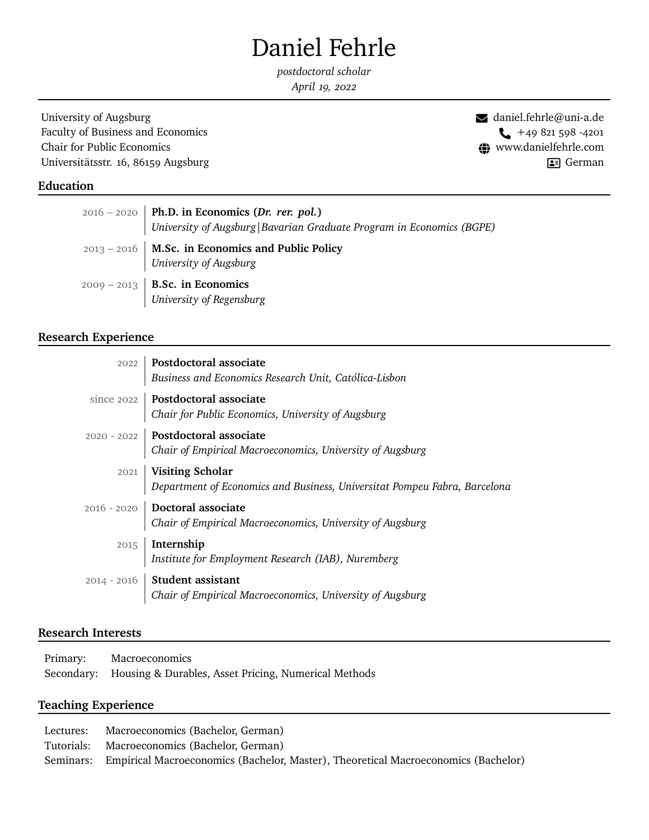# Daniel Fehrle

*postdoctoral scholar April 19, 2022*

University of Augsburg ! [daniel.fehrle@uni-a.de](mailto:daniel.fehrle@wiwi.uni-augsburg.de) Faculty of Business and Economics Chair for Public Economics  $\bigoplus$  <www.danielfehrle.com> Universitätsstr. 16, 86159 Augsburg -

German

## **Education**

| $2016 - 2020$ Ph.D. in Economics (Dr. rer. pol.)<br>University of Augsburg   Bavarian Graduate Program in Economics (BGPE) |
|----------------------------------------------------------------------------------------------------------------------------|
| $2013 - 2016$   M.Sc. in Economics and Public Policy<br>University of Augsburg                                             |
| $2009 - 2013$   <b>B.Sc. in Economics</b><br>University of Regensburg                                                      |

# **Research Experience**

| 2022   Postdoctoral associate<br>Business and Economics Research Unit, Católica-Lisbon                                   |
|--------------------------------------------------------------------------------------------------------------------------|
| since 2022   <b>Postdoctoral associate</b><br><i>Chair for Public Economics, University of Augsburg</i>                  |
| 2020 - 2022   Postdoctoral associate<br>  Chair of Empirical Macroeconomics, University of Augsburg                      |
| $\,$ 2021<br>$\,$ <b>Visiting Scholar</b> $\,$ Department of Economics and Business, Universitat Pompeu Fabra, Barcelona |
| 2016 - 2020 Doctoral associate<br>Chair of Empirical Macroeconomics, University of Augsburg                              |
| $2015$ Internship<br>Institute for Employment Research (IAB), Nuremberg                                                  |
| 2014 - 2016 Student assistant<br>Chair of Empirical Macroeconomics, University of Augsburg                               |

# **Research Interests**

| Primary: | Macroeconomics                                                  |
|----------|-----------------------------------------------------------------|
|          | Secondary: Housing & Durables, Asset Pricing, Numerical Methods |

# **Teaching Experience**

| Lectures: | Macroeconomics (Bachelor, German)                                                            |
|-----------|----------------------------------------------------------------------------------------------|
|           | Tutorials: Macroeconomics (Bachelor, German)                                                 |
|           | Seminars: Empirical Macroeconomics (Bachelor, Master), Theoretical Macroeconomics (Bachelor) |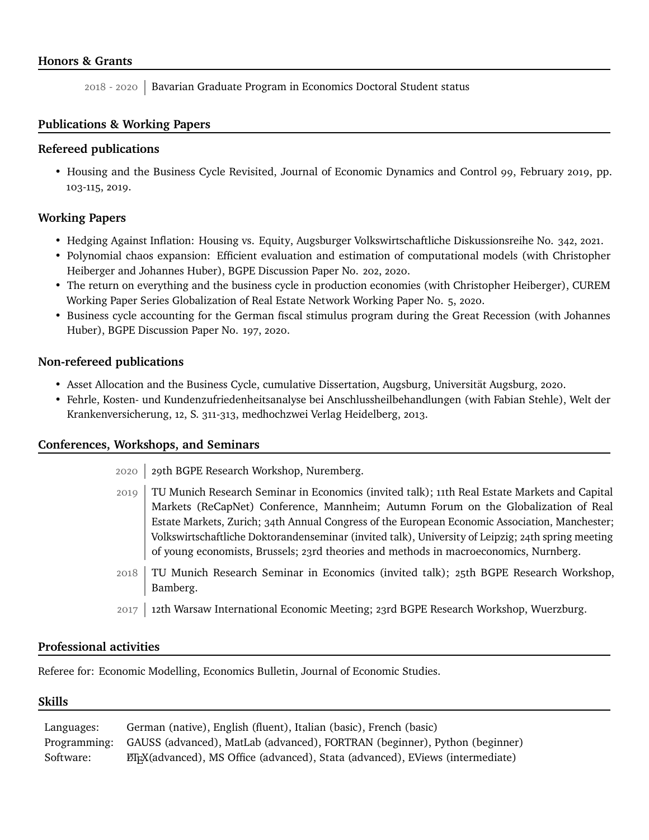# **Honors & Grants**

2018 - 2020 Bavarian Graduate Program in Economics Doctoral Student status

## **Publications & Working Papers**

## **Refereed publications**

• [Housing and the Business Cycle Revisited,](https://www.sciencedirect.com/science/article/abs/pii/S0165188918303932) Journal of Economic Dynamics and Control 99, February 2019, pp. 103-115, 2019.

## **Working Papers**

- [Hedging Against Inflation: Housing vs. Equity,](https://vwl.wiwi.uni-augsburg.de/vwl/institut/paper/342.pdf) Augsburger Volkswirtschaftliche Diskussionsreihe No. 342, 2021.
- [Polynomial chaos expansion: Efficient evaluation and estimation of computational models](http://www.bgpe.de/texte/DP/202_Fehrle_Heiberger_Huber.pdf) (with Christopher Heiberger and Johannes Huber), BGPE Discussion Paper No. 202, 2020.
- [The return on everything and the business cycle in production economies](https://www.curem.uzh.ch/dam/jcr:a6b25c5a-ef87-4f6c-84d0-97aaf020fe73/CUREM_Working_Paper_No5.pdf) (with Christopher Heiberger), CUREM Working Paper Series Globalization of Real Estate Network Working Paper No. 5, 2020.
- [Business cycle accounting for the German fiscal stimulus program during the Great Recession](http://www.bgpe.de/texte/DP/197_Fehrle_Huber.pdf) (with Johannes Huber), BGPE Discussion Paper No. 197, 2020.

#### **Non-refereed publications**

- [Asset Allocation and the Business Cycle, cumulative Dissertation,](https://opus.bibliothek.uni-augsburg.de/opus4/frontdoor/deliver/index/docId/79572/file/Diss.pdf) Augsburg, Universität Augsburg, 2020.
- Fehrle, Kosten- und Kundenzufriedenheitsanalyse bei Anschlussheilbehandlungen (with Fabian Stehle), Welt der Krankenversicherung, 12, S. 311-313, medhochzwei Verlag Heidelberg, 2013.

## **Conferences, Workshops, and Seminars**

- 2020 29th BGPE Research Workshop, Nuremberg.
- 2019 TU Munich Research Seminar in Economics (invited talk); 11th Real Estate Markets and Capital Markets (ReCapNet) Conference, Mannheim; Autumn Forum on the Globalization of Real Estate Markets, Zurich; 34th Annual Congress of the European Economic Association, Manchester; Volkswirtschaftliche Doktorandenseminar (invited talk), University of Leipzig; 24th spring meeting of young economists, Brussels; 23rd theories and methods in macroeconomics, Nurnberg.
- 2018 TU Munich Research Seminar in Economics (invited talk); 25th BGPE Research Workshop, Bamberg.
- 2017 12th Warsaw International Economic Meeting; 23rd BGPE Research Workshop, Wuerzburg.

#### **Professional activities**

Referee for: Economic Modelling, Economics Bulletin, Journal of Economic Studies.

#### **Skills**

| Languages: | German (native), English (fluent), Italian (basic), French (basic)                      |
|------------|-----------------------------------------------------------------------------------------|
|            | Programming: GAUSS (advanced), MatLab (advanced), FORTRAN (beginner), Python (beginner) |
| Software:  | <b>EX</b> (advanced), MS Office (advanced), Stata (advanced), EViews (intermediate)     |